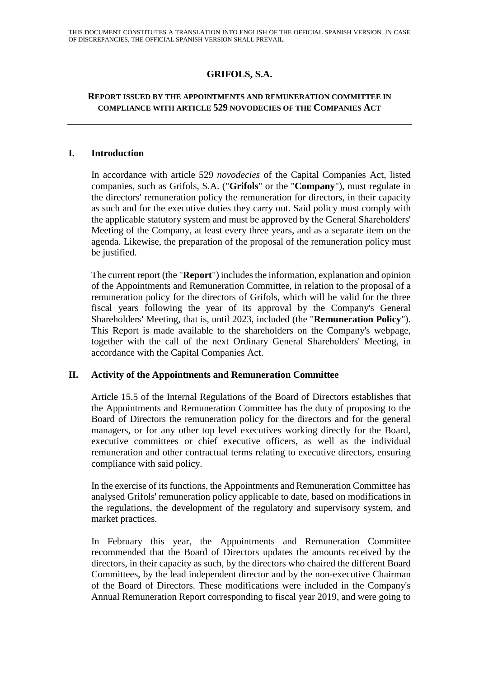# **GRIFOLS, S.A.**

### **REPORT ISSUED BY THE APPOINTMENTS AND REMUNERATION COMMITTEE IN COMPLIANCE WITH ARTICLE 529 NOVODECIES OF THE COMPANIES ACT**

#### **I. Introduction**

In accordance with article 529 *novodecies* of the Capital Companies Act, listed companies, such as Grifols, S.A. ("**Grifols**" or the "**Company**"), must regulate in the directors' remuneration policy the remuneration for directors, in their capacity as such and for the executive duties they carry out. Said policy must comply with the applicable statutory system and must be approved by the General Shareholders' Meeting of the Company, at least every three years, and as a separate item on the agenda. Likewise, the preparation of the proposal of the remuneration policy must be justified.

The current report (the "**Report**") includes the information, explanation and opinion of the Appointments and Remuneration Committee, in relation to the proposal of a remuneration policy for the directors of Grifols, which will be valid for the three fiscal years following the year of its approval by the Company's General Shareholders' Meeting, that is, until 2023, included (the "**Remuneration Policy**"). This Report is made available to the shareholders on the Company's webpage, together with the call of the next Ordinary General Shareholders' Meeting, in accordance with the Capital Companies Act.

### **II. Activity of the Appointments and Remuneration Committee**

Article 15.5 of the Internal Regulations of the Board of Directors establishes that the Appointments and Remuneration Committee has the duty of proposing to the Board of Directors the remuneration policy for the directors and for the general managers, or for any other top level executives working directly for the Board, executive committees or chief executive officers, as well as the individual remuneration and other contractual terms relating to executive directors, ensuring compliance with said policy.

In the exercise of its functions, the Appointments and Remuneration Committee has analysed Grifols' remuneration policy applicable to date, based on modifications in the regulations, the development of the regulatory and supervisory system, and market practices.

In February this year, the Appointments and Remuneration Committee recommended that the Board of Directors updates the amounts received by the directors, in their capacity as such, by the directors who chaired the different Board Committees, by the lead independent director and by the non-executive Chairman of the Board of Directors. These modifications were included in the Company's Annual Remuneration Report corresponding to fiscal year 2019, and were going to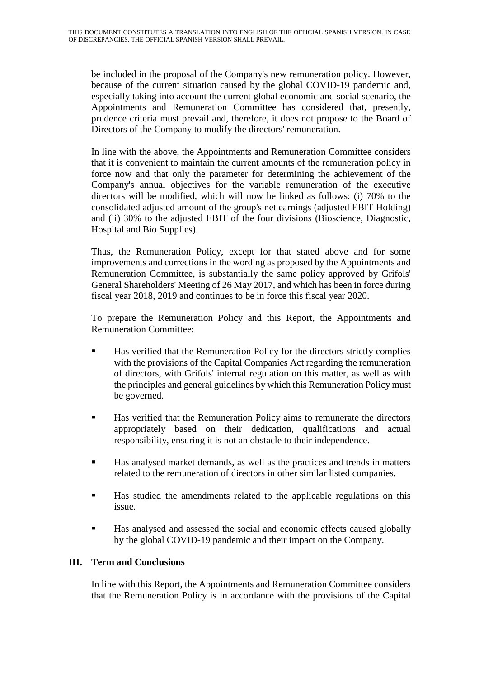be included in the proposal of the Company's new remuneration policy. However, because of the current situation caused by the global COVID-19 pandemic and, especially taking into account the current global economic and social scenario, the Appointments and Remuneration Committee has considered that, presently, prudence criteria must prevail and, therefore, it does not propose to the Board of Directors of the Company to modify the directors' remuneration.

In line with the above, the Appointments and Remuneration Committee considers that it is convenient to maintain the current amounts of the remuneration policy in force now and that only the parameter for determining the achievement of the Company's annual objectives for the variable remuneration of the executive directors will be modified, which will now be linked as follows: (i) 70% to the consolidated adjusted amount of the group's net earnings (adjusted EBIT Holding) and (ii) 30% to the adjusted EBIT of the four divisions (Bioscience, Diagnostic, Hospital and Bio Supplies).

Thus, the Remuneration Policy, except for that stated above and for some improvements and corrections in the wording as proposed by the Appointments and Remuneration Committee, is substantially the same policy approved by Grifols' General Shareholders' Meeting of 26 May 2017, and which has been in force during fiscal year 2018, 2019 and continues to be in force this fiscal year 2020.

To prepare the Remuneration Policy and this Report, the Appointments and Remuneration Committee:

- Has verified that the Remuneration Policy for the directors strictly complies with the provisions of the Capital Companies Act regarding the remuneration of directors, with Grifols' internal regulation on this matter, as well as with the principles and general guidelines by which this Remuneration Policy must be governed.
- Has verified that the Remuneration Policy aims to remunerate the directors appropriately based on their dedication, qualifications and actual responsibility, ensuring it is not an obstacle to their independence.
- Has analysed market demands, as well as the practices and trends in matters related to the remuneration of directors in other similar listed companies.
- Has studied the amendments related to the applicable regulations on this issue.
- Has analysed and assessed the social and economic effects caused globally by the global COVID-19 pandemic and their impact on the Company.

# **III. Term and Conclusions**

In line with this Report, the Appointments and Remuneration Committee considers that the Remuneration Policy is in accordance with the provisions of the Capital